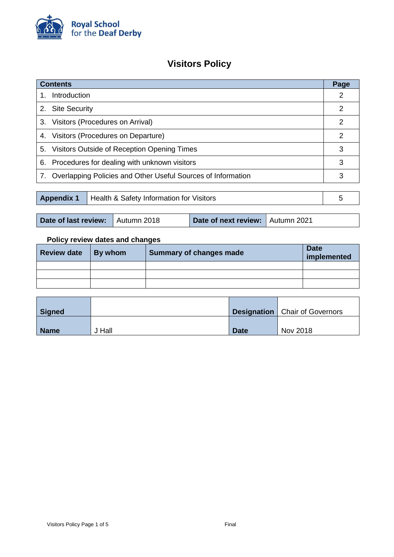

# **Visitors Policy**

| <b>Contents</b>                                               |                                                                 |   |   |  |
|---------------------------------------------------------------|-----------------------------------------------------------------|---|---|--|
| $1_{-}$                                                       | Introduction                                                    |   |   |  |
|                                                               | 2. Site Security                                                |   |   |  |
| 3.                                                            | Visitors (Procedures on Arrival)                                |   | 2 |  |
|                                                               | 4. Visitors (Procedures on Departure)                           |   |   |  |
|                                                               | 5. Visitors Outside of Reception Opening Times                  |   |   |  |
|                                                               | 6. Procedures for dealing with unknown visitors                 |   |   |  |
|                                                               | 7. Overlapping Policies and Other Useful Sources of Information |   | 3 |  |
|                                                               |                                                                 |   |   |  |
| <b>Appendix 1</b><br>Health & Safety Information for Visitors |                                                                 | 5 |   |  |

## **Policy review dates and changes**

 $\mathbf{r}$ 

| <b>Review date</b> | <b>By whom</b> | Summary of changes made | <b>Date</b><br>implemented |
|--------------------|----------------|-------------------------|----------------------------|
|                    |                |                         |                            |
|                    |                |                         |                            |
|                    |                |                         |                            |

| Signed      |      |             | <b>Designation</b>   Chair of Governors |
|-------------|------|-------------|-----------------------------------------|
| <b>Name</b> | Hall | <b>Date</b> | Nov 2018                                |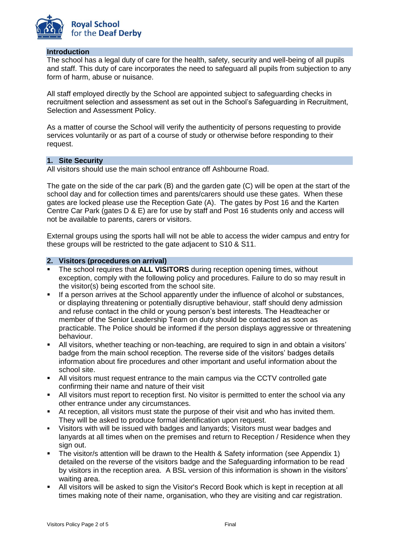

#### **Introduction**

The school has a legal duty of care for the health, safety, security and well-being of all pupils and staff. This duty of care incorporates the need to safeguard all pupils from subjection to any form of harm, abuse or nuisance.

All staff employed directly by the School are appointed subject to safeguarding checks in recruitment selection and assessment as set out in the School's Safeguarding in Recruitment, Selection and Assessment Policy.

As a matter of course the School will verify the authenticity of persons requesting to provide services voluntarily or as part of a course of study or otherwise before responding to their request.

### **1. Site Security**

All visitors should use the main school entrance off Ashbourne Road.

The gate on the side of the car park (B) and the garden gate (C) will be open at the start of the school day and for collection times and parents/carers should use these gates. When these gates are locked please use the Reception Gate (A). The gates by Post 16 and the Karten Centre Car Park (gates D & E) are for use by staff and Post 16 students only and access will not be available to parents, carers or visitors.

External groups using the sports hall will not be able to access the wider campus and entry for these groups will be restricted to the gate adjacent to S10 & S11.

#### <span id="page-1-0"></span>**2. Visitors (procedures on arrival)**

- The school requires that **ALL VISITORS** during reception opening times, without exception, comply with the following policy and procedures. Failure to do so may result in the visitor(s) being escorted from the school site.
- If a person arrives at the School apparently under the influence of alcohol or substances, or displaying threatening or potentially disruptive behaviour, staff should deny admission and refuse contact in the child or young person's best interests. The Headteacher or member of the Senior Leadership Team on duty should be contacted as soon as practicable. The Police should be informed if the person displays aggressive or threatening behaviour.
- All visitors, whether teaching or non-teaching, are required to sign in and obtain a visitors' badge from the main school reception. The reverse side of the visitors' badges details information about fire procedures and other important and useful information about the school site.
- All visitors must request entrance to the main campus via the CCTV controlled gate confirming their name and nature of their visit
- All visitors must report to reception first. No visitor is permitted to enter the school via any other entrance under any circumstances.
- At reception, all visitors must state the purpose of their visit and who has invited them. They will be asked to produce formal identification upon request.
- Visitors with will be issued with badges and lanyards; Visitors must wear badges and lanyards at all times when on the premises and return to Reception / Residence when they sign out.
- The visitor/s attention will be drawn to the Health & Safety information (see Appendix 1) detailed on the reverse of the visitors badge and the Safeguarding information to be read by visitors in the reception area. A BSL version of this information is shown in the visitors' waiting area.
- All visitors will be asked to sign the Visitor's Record Book which is kept in reception at all times making note of their name, organisation, who they are visiting and car registration.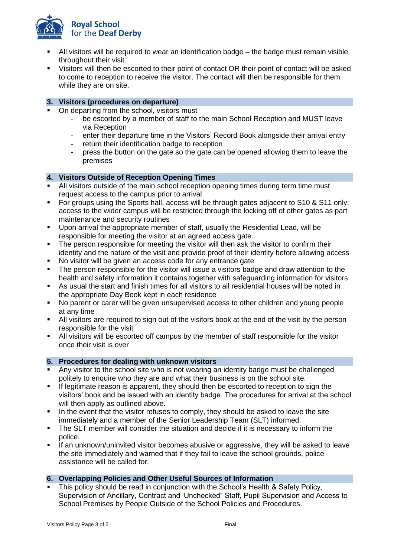

- All visitors will be required to wear an identification badge the badge must remain visible throughout their visit.
- Visitors will then be escorted to their point of contact OR their point of contact will be asked to come to reception to receive the visitor. The contact will then be responsible for them while they are on site.

### <span id="page-2-0"></span>**3. Visitors (procedures on departure)**

- On departing from the school, visitors must
	- be escorted by a member of staff to the main School Reception and MUST leave via Reception
	- enter their departure time in the Visitors' Record Book alongside their arrival entry
	- return their identification badge to reception
	- press the button on the gate so the gate can be opened allowing them to leave the premises

### <span id="page-2-1"></span>**4. Visitors Outside of Reception Opening Times**

- All visitors outside of the main school reception opening times during term time must request access to the campus prior to arrival
- For groups using the Sports hall, access will be through gates adjacent to S10 & S11 only; access to the wider campus will be restricted through the locking off of other gates as part maintenance and security routines
- Upon arrival the appropriate member of staff, usually the Residential Lead, will be responsible for meeting the visitor at an agreed access gate.
- The person responsible for meeting the visitor will then ask the visitor to confirm their identity and the nature of the visit and provide proof of their identity before allowing access
- No visitor will be given an access code for any entrance gate
- The person responsible for the visitor will issue a visitors badge and draw attention to the health and safety information it contains together with safeguarding information for visitors
- As usual the start and finish times for all visitors to all residential houses will be noted in the appropriate Day Book kept in each residence
- No parent or carer will be given unsupervised access to other children and young people at any time
- All visitors are required to sign out of the visitors book at the end of the visit by the person responsible for the visit
- All visitors will be escorted off campus by the member of staff responsible for the visitor once their visit is over

### <span id="page-2-2"></span>**5. Procedures for dealing with unknown visitors**

- Any visitor to the school site who is not wearing an identity badge must be challenged politely to enquire who they are and what their business is on the school site.
- If legitimate reason is apparent, they should then be escorted to reception to sign the visitors' book and be issued with an identity badge. The procedures for arrival at the school will then apply as outlined above.
- In the event that the visitor refuses to comply, they should be asked to leave the site immediately and a member of the Senior Leadership Team (SLT) informed.
- The SLT member will consider the situation and decide if it is necessary to inform the police.
- If an unknown/uninvited visitor becomes abusive or aggressive, they will be asked to leave the site immediately and warned that if they fail to leave the school grounds, police assistance will be called for.

### <span id="page-2-3"></span>**6. Overlapping Policies and Other Useful Sources of Information**

 This policy should be read in conjunction with the School's Health & Safety Policy, Supervision of Ancillary, Contract and 'Unchecked" Staff, Pupil Supervision and Access to School Premises by People Outside of the School Policies and Procedures.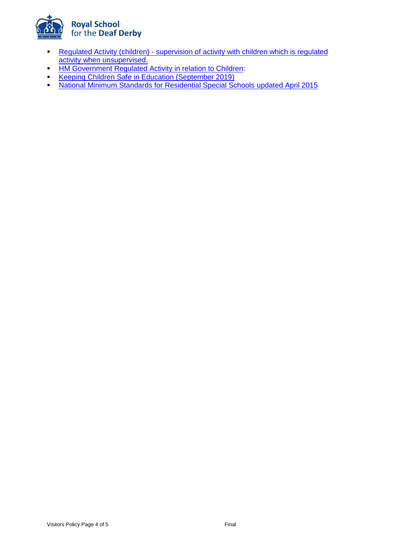

- **Regulated Activity (children) supervision of activity with children which is regulated** [activity when unsupervised.](https://assets.publishing.service.gov.uk/government/uploads/system/uploads/attachment_data/file/280881/supervision_of_activity_with_children_which_is_regulated_activity_when_unsupervised.pdf)
- **[HM Government Regulated Activity in relation to Children:](http://media.education.gov.uk/assets/files/pdf/r/regulated%20activity%20children%20full%20information%20ewni%20final%202012-06-01.pdf)**
- [Keeping Children Safe in Education \(September 2019\)](https://assets.publishing.service.gov.uk/government/uploads/system/uploads/attachment_data/file/835733/Keeping_children_safe_in_education_2019.pdf)
- **[National Minimum Standards for Residential Special Schools updated April 2015](https://assets.publishing.service.gov.uk/government/uploads/system/uploads/attachment_data/file/416188/20150319_nms_rss_standards.pdf)**